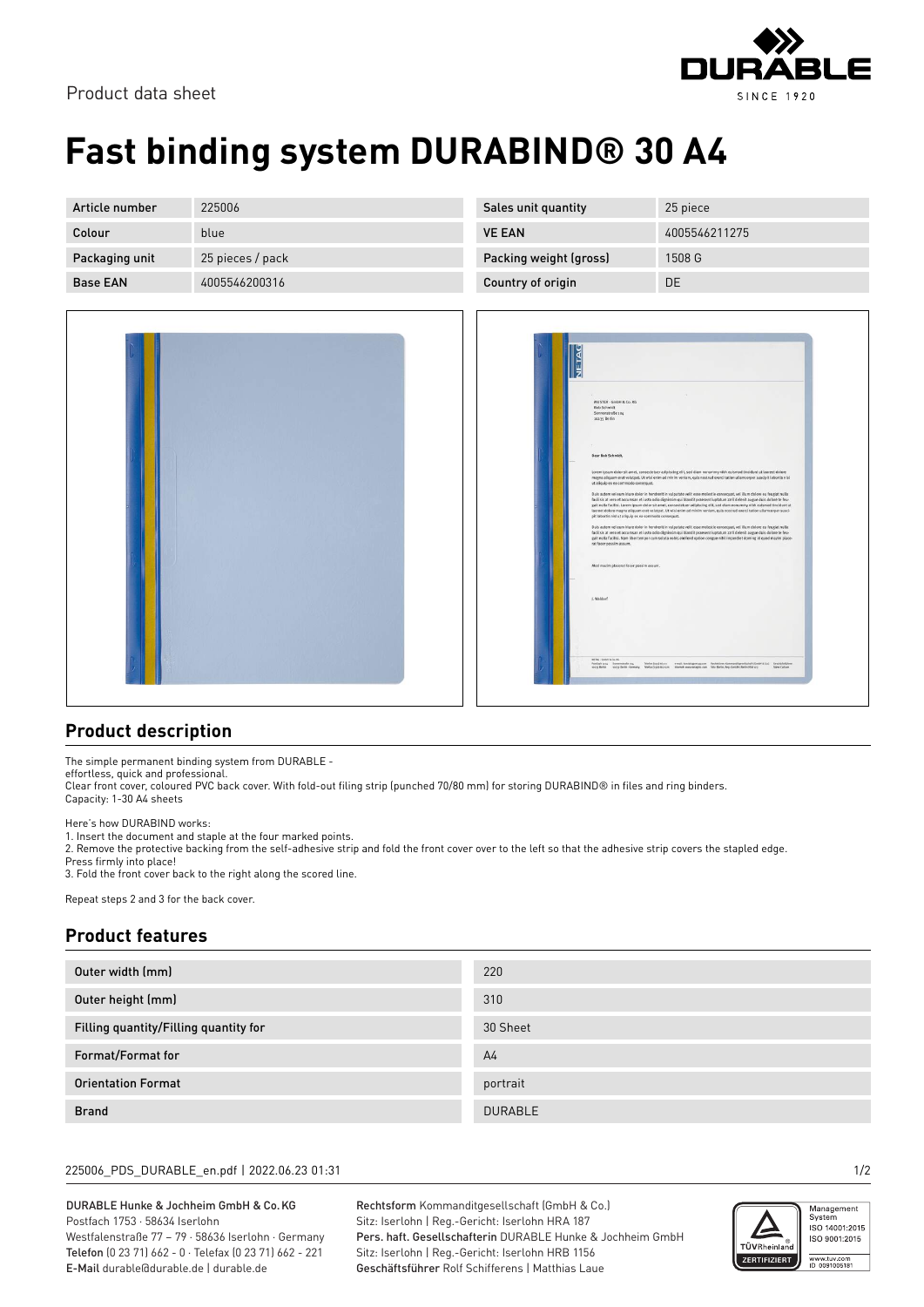

Product data sheet

# **Fast binding system DURABIND® 30 A4**

| Article number  | 225006           | Sales unit quantity    | 25 piece      |
|-----------------|------------------|------------------------|---------------|
| Colour          | blue             | <b>VE EAN</b>          | 4005546211275 |
| Packaging unit  | 25 pieces / pack | Packing weight (gross) | 1508 G        |
| <b>Base EAN</b> | 4005546200316    | Country of origin      | DE            |



| MUSTER - GmbH & Co. KG                                                                                                                                                                                                                                                                                          |
|-----------------------------------------------------------------------------------------------------------------------------------------------------------------------------------------------------------------------------------------------------------------------------------------------------------------|
| <b>Bob Schmidt</b><br>Sonnenstraße 104                                                                                                                                                                                                                                                                          |
| 10235 Berlin                                                                                                                                                                                                                                                                                                    |
|                                                                                                                                                                                                                                                                                                                 |
| é                                                                                                                                                                                                                                                                                                               |
|                                                                                                                                                                                                                                                                                                                 |
| Dear Bob Schmidt,                                                                                                                                                                                                                                                                                               |
| Lorem ipsum dolor sit areet, consectetuer adipiscing elit, sed diam nonummy nibh euismod tincidunt ut lapreet dolore                                                                                                                                                                                            |
| magna aliquam erat volutpat. Ut wisi enim ad minim veniam, quis nostrud exerci tation ullamcorper suscipit lobortis nisi<br>ut aliquip ex ea commodo consequat.                                                                                                                                                 |
|                                                                                                                                                                                                                                                                                                                 |
| Dais autem vel eum inure dolor in hendrent in vulgutate velit esse molestie consequat, vel illum dolore eu feugiat nulla<br>facilisis at vero et accumsan et iusto odio dignissim qui blandit praesent luptatum zzril delenit augue duis dolore te feu-                                                         |
| galt nulla facilisi. Lorem ipsum dolor sit arret, consectetuer adipiscing elit, sed diam nonummy nibh euismod tincidunt ut<br>laoreet dolore magna aliquarn erat volutpat. Ut wisi enim ad minim veniam, quis nostrud exerci tation ullarncorper susci-                                                         |
| pit lobortis nisi ut aliquip ex ea commodo consequat,                                                                                                                                                                                                                                                           |
| Dais autem vel eum iniure dolor in hendrent in vulputate velit esse molestie consequat, vel illum dolore eu feugiat nulla                                                                                                                                                                                       |
| facilisis at vero et accumsan et iusto odio dignissim qui blandit praesent luptatum zzril delenit augue duis dolore te feu-<br>galt nulla facilisi. Nam liber tempor cum soluta nobis eleifend option congue nihil imperdiet doming id quod mazim place-                                                        |
| rat facer possim assum.                                                                                                                                                                                                                                                                                         |
|                                                                                                                                                                                                                                                                                                                 |
| Mod mazim placerat facer possim assum.                                                                                                                                                                                                                                                                          |
|                                                                                                                                                                                                                                                                                                                 |
|                                                                                                                                                                                                                                                                                                                 |
| J. Waldorf                                                                                                                                                                                                                                                                                                      |
|                                                                                                                                                                                                                                                                                                                 |
|                                                                                                                                                                                                                                                                                                                 |
|                                                                                                                                                                                                                                                                                                                 |
|                                                                                                                                                                                                                                                                                                                 |
|                                                                                                                                                                                                                                                                                                                 |
| MTM) (Seniti K Co. KG)                                                                                                                                                                                                                                                                                          |
| Telefon (cycl 662-x)<br>e-mail: kontaktgrensg czon Rechtsform: Kontrologiego elluchalt (Sodat's Co.) Geschäftsfahren<br>Postfach 1234 Sommersstraße 104<br>snays Berlin<br>Internet; www.netaploc.com Site: Bedis, Reg. Gericht: Berlin HRA 123<br>1921s Berlin - Germany Telefax (1910-662-221<br>Steve Catsen |

### **Product description**

The simple permanent binding system from DURABLE -

effortless, quick and professional. Clear front cover, coloured PVC back cover. With fold-out filing strip (punched 70/80 mm) for storing DURABIND® in files and ring binders. Capacity: 1-30 A4 sheets

Here's how DURABIND works:

1. Insert the document and staple at the four marked points.

2. Remove the protective backing from the self-adhesive strip and fold the front cover over to the left so that the adhesive strip covers the stapled edge. Press firmly into place!

3. Fold the front cover back to the right along the scored line.

Repeat steps 2 and 3 for the back cover.

### **Product features**

| Outer width (mm)                      | 220            |
|---------------------------------------|----------------|
| Outer height (mm)                     | 310            |
| Filling quantity/Filling quantity for | 30 Sheet       |
| Format/Format for                     | A <sub>4</sub> |
| <b>Orientation Format</b>             | portrait       |
| <b>Brand</b>                          | <b>DURABLE</b> |

#### 225006\_PDS\_DURABLE\_en.pdf | 2022.06.23 01:31 1/2

DURABLE Hunke & Jochheim GmbH & Co.KG Postfach 1753 · 58634 Iserlohn Westfalenstraße 77 – 79 · 58636 Iserlohn · Germany

Telefon (0 23 71) 662 - 0 · Telefax (0 23 71) 662 - 221 E-Mail durable@durable.de | durable.de

Rechtsform Kommanditgesellschaft (GmbH & Co.) Sitz: Iserlohn | Reg.-Gericht: Iserlohn HRA 187 Pers. haft. Gesellschafterin DURABLE Hunke & Jochheim GmbH Sitz: Iserlohn | Reg.-Gericht: Iserlohn HRB 1156 Geschäftsführer Rolf Schifferens | Matthias Laue